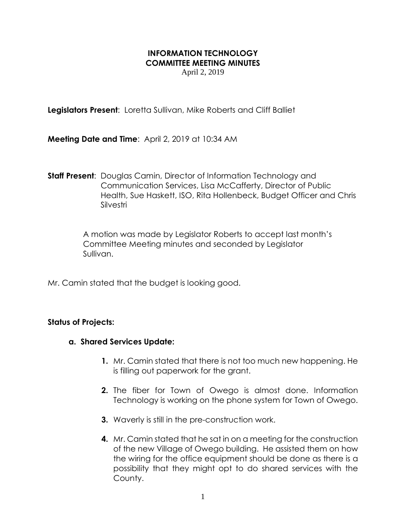## **INFORMATION TECHNOLOGY COMMITTEE MEETING MINUTES**

April 2, 2019

**Legislators Present**: Loretta Sullivan, Mike Roberts and Cliff Balliet

**Meeting Date and Time**: April 2, 2019 at 10:34 AM

**Staff Present**: Douglas Camin, Director of Information Technology and Communication Services, Lisa McCafferty, Director of Public Health, Sue Haskett, ISO, Rita Hollenbeck, Budget Officer and Chris Silvestri

> A motion was made by Legislator Roberts to accept last month's Committee Meeting minutes and seconded by Legislator Sullivan.

Mr. Camin stated that the budget is looking good.

## **Status of Projects:**

## **a. Shared Services Update:**

- **1.** Mr. Camin stated that there is not too much new happening. He is filling out paperwork for the grant.
- **2.** The fiber for Town of Owego is almost done. Information Technology is working on the phone system for Town of Owego.
- **3.** Waverly is still in the pre-construction work.
- **4.** Mr. Camin stated that he sat in on a meeting for the construction of the new Village of Owego building. He assisted them on how the wiring for the office equipment should be done as there is a possibility that they might opt to do shared services with the County.